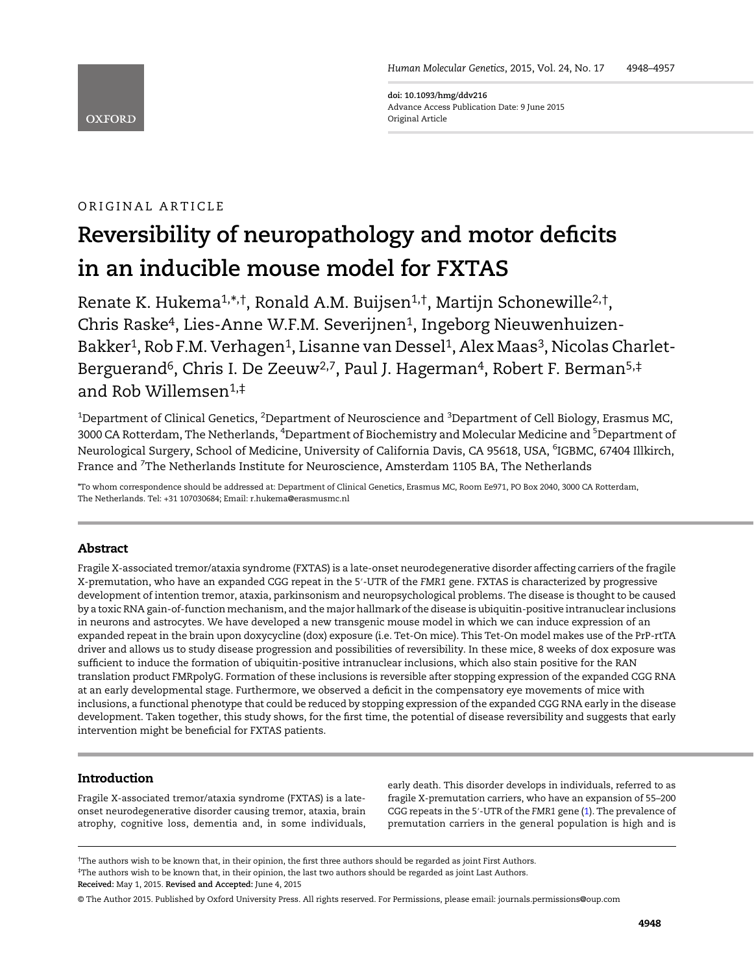Human Molecular Genetics, 2015, Vol. 24, No. 17 4948–4957

doi: 10.1093/hmg/ddv216 Advance Access Publication Date: 9 June 2015 Original Article

## ORIGINAL ARTICLE

**OXFORD** 

# Reversibility of neuropathology and motor deficits in an inducible mouse model for FXTAS

Renate K. Hukema<sup>1,\*,†</sup>, Ronald A.M. Buijsen<sup>1,†</sup>, Martijn Schonewille<sup>2,†</sup>, Chris Raske<sup>4</sup>, Lies-Anne W.F.M. Severijnen<sup>1</sup>, Ingeborg Nieuwenhuizen-Bakker<sup>1</sup>, Rob F.M. Verhagen<sup>1</sup>, Lisanne van Dessel<sup>1</sup>, Alex Maas<sup>3</sup>, Nicolas Charlet-Berguerand<sup>6</sup>, Chris I. De Zeeuw<sup>2,7</sup>, Paul J. Hagerman<sup>4</sup>, Robert F. Berman<sup>5,‡</sup> and Rob Willemsen1,‡

 $^{\rm 1}$ Department of Clinical Genetics,  $^{\rm 2}$ Department of Neuroscience and  $^{\rm 3}$ Department of Cell Biology, Erasmus MC, 3000 CA Rotterdam, The Netherlands, <sup>4</sup>Department of Biochemistry and Molecular Medicine and <sup>5</sup>Department of Neurological Surgery, School of Medicine, University of California Davis, CA 95618, USA, <sup>6</sup>IGBMC, 67404 Illkirch, France and <sup>7</sup>The Netherlands Institute for Neuroscience, Amsterdam 1105 BA, The Netherlands

\*To whom correspondence should be addressed at: Department of Clinical Genetics, Erasmus MC, Room Ee971, PO Box 2040, 3000 CA Rotterdam, The Netherlands. Tel: +31 107030684; Email: r.hukema@erasmusmc.nl

## Abstract

Fragile X-associated tremor/ataxia syndrome (FXTAS) is a late-onset neurodegenerative disorder affecting carriers of the fragile X-premutation, who have an expanded CGG repeat in the 5′-UTR of the FMR1 gene. FXTAS is characterized by progressive development of intention tremor, ataxia, parkinsonism and neuropsychological problems. The disease is thought to be caused by a toxic RNA gain-of-function mechanism, and the major hallmark of the disease is ubiquitin-positive intranuclear inclusions in neurons and astrocytes. We have developed a new transgenic mouse model in which we can induce expression of an expanded repeat in the brain upon doxycycline (dox) exposure (i.e. Tet-On mice). This Tet-On model makes use of the PrP-rtTA driver and allows us to study disease progression and possibilities of reversibility. In these mice, 8 weeks of dox exposure was sufficient to induce the formation of ubiquitin-positive intranuclear inclusions, which also stain positive for the RAN translation product FMRpolyG. Formation of these inclusions is reversible after stopping expression of the expanded CGG RNA at an early developmental stage. Furthermore, we observed a deficit in the compensatory eye movements of mice with inclusions, a functional phenotype that could be reduced by stopping expression of the expanded CGG RNA early in the disease development. Taken together, this study shows, for the first time, the potential of disease reversibility and suggests that early intervention might be beneficial for FXTAS patients.

## Introduction

Fragile X-associated tremor/ataxia syndrome (FXTAS) is a lateonset neurodegenerative disorder causing tremor, ataxia, brain atrophy, cognitive loss, dementia and, in some individuals, early death. This disorder develops in individuals, referred to as fragile X-premutation carriers, who have an expansion of 55–200 CGG repeats in the 5′-UTR of the FMR1 gene ([1\)](#page-8-0). The prevalence of premutation carriers in the general population is high and is

† The authors wish to be known that, in their opinion, the first three authors should be regarded as joint First Authors. ‡ The authors wish to be known that, in their opinion, the last two authors should be regarded as joint Last Authors.

Received: May 1, 2015. Revised and Accepted: June 4, 2015

<sup>©</sup> The Author 2015. Published by Oxford University Press. All rights reserved. For Permissions, please email: journals.permissions@oup.com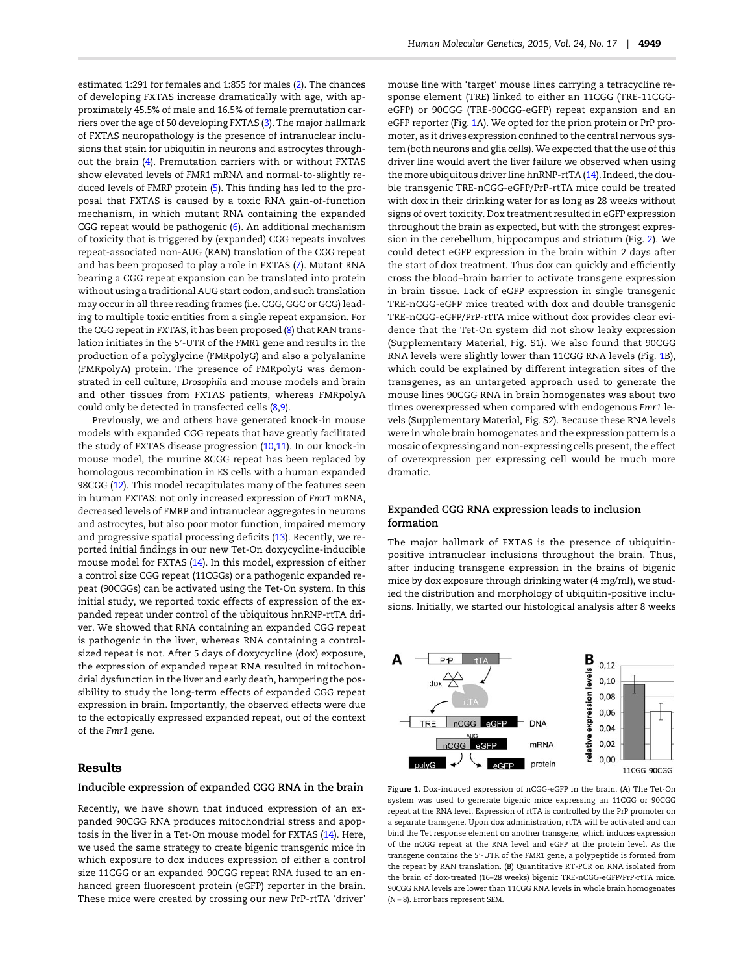estimated 1:291 for females and 1:855 for males ([2\)](#page-8-0). The chances of developing FXTAS increase dramatically with age, with approximately 45.5% of male and 16.5% of female premutation carriers over the age of 50 developing FXTAS ([3\)](#page-8-0). The major hallmark of FXTAS neuropathology is the presence of intranuclear inclusions that stain for ubiquitin in neurons and astrocytes throughout the brain ([4](#page-8-0)). Premutation carriers with or without FXTAS show elevated levels of FMR1 mRNA and normal-to-slightly reduced levels of FMRP protein [\(5](#page-8-0)). This finding has led to the proposal that FXTAS is caused by a toxic RNA gain-of-function mechanism, in which mutant RNA containing the expanded CGG repeat would be pathogenic [\(6](#page-8-0)). An additional mechanism of toxicity that is triggered by (expanded) CGG repeats involves repeat-associated non-AUG (RAN) translation of the CGG repeat and has been proposed to play a role in FXTAS [\(7\)](#page-8-0). Mutant RNA bearing a CGG repeat expansion can be translated into protein without using a traditional AUG start codon, and such translation may occur in all three reading frames (i.e. CGG, GGC or GCG) leading to multiple toxic entities from a single repeat expansion. For the CGG repeat in FXTAS, it has been proposed ([8](#page-8-0)) that RAN translation initiates in the 5′-UTR of the FMR1 gene and results in the production of a polyglycine (FMRpolyG) and also a polyalanine (FMRpolyA) protein. The presence of FMRpolyG was demonstrated in cell culture, Drosophila and mouse models and brain and other tissues from FXTAS patients, whereas FMRpolyA could only be detected in transfected cells ([8,9\)](#page-8-0).

Previously, we and others have generated knock-in mouse models with expanded CGG repeats that have greatly facilitated the study of FXTAS disease progression ([10,11\)](#page-8-0). In our knock-in mouse model, the murine 8CGG repeat has been replaced by homologous recombination in ES cells with a human expanded 98CGG ([12](#page-9-0)). This model recapitulates many of the features seen in human FXTAS: not only increased expression of Fmr1 mRNA, decreased levels of FMRP and intranuclear aggregates in neurons and astrocytes, but also poor motor function, impaired memory and progressive spatial processing deficits [\(13\)](#page-9-0). Recently, we reported initial findings in our new Tet-On doxycycline-inducible mouse model for FXTAS [\(14\)](#page-9-0). In this model, expression of either a control size CGG repeat (11CGGs) or a pathogenic expanded repeat (90CGGs) can be activated using the Tet-On system. In this initial study, we reported toxic effects of expression of the expanded repeat under control of the ubiquitous hnRNP-rtTA driver. We showed that RNA containing an expanded CGG repeat is pathogenic in the liver, whereas RNA containing a controlsized repeat is not. After 5 days of doxycycline (dox) exposure, the expression of expanded repeat RNA resulted in mitochondrial dysfunction in the liver and early death, hampering the possibility to study the long-term effects of expanded CGG repeat expression in brain. Importantly, the observed effects were due to the ectopically expressed expanded repeat, out of the context of the Fmr1 gene.

## Results

#### Inducible expression of expanded CGG RNA in the brain

Recently, we have shown that induced expression of an expanded 90CGG RNA produces mitochondrial stress and apoptosis in the liver in a Tet-On mouse model for FXTAS ([14](#page-9-0)). Here, we used the same strategy to create bigenic transgenic mice in which exposure to dox induces expression of either a control size 11CGG or an expanded 90CGG repeat RNA fused to an enhanced green fluorescent protein (eGFP) reporter in the brain. These mice were created by crossing our new PrP-rtTA 'driver'

mouse line with 'target' mouse lines carrying a tetracycline response element (TRE) linked to either an 11CGG (TRE-11CGGeGFP) or 90CGG (TRE-90CGG-eGFP) repeat expansion and an eGFP reporter (Fig. 1A). We opted for the prion protein or PrP promoter, as it drives expression confined to the central nervous system (both neurons and glia cells). We expected that the use of this driver line would avert the liver failure we observed when using the more ubiquitous driver line hnRNP-rtTA [\(14](#page-9-0)). Indeed, the double transgenic TRE-nCGG-eGFP/PrP-rtTA mice could be treated with dox in their drinking water for as long as 28 weeks without signs of overt toxicity. Dox treatment resulted in eGFP expression throughout the brain as expected, but with the strongest expression in the cerebellum, hippocampus and striatum (Fig. [2](#page-2-0)). We could detect eGFP expression in the brain within 2 days after the start of dox treatment. Thus dox can quickly and efficiently cross the blood–brain barrier to activate transgene expression in brain tissue. Lack of eGFP expression in single transgenic TRE-nCGG-eGFP mice treated with dox and double transgenic TRE-nCGG-eGFP/PrP-rtTA mice without dox provides clear evidence that the Tet-On system did not show leaky expression ([Supplementary Material, Fig. S1\)](http://hmg.oxfordjournals.org/lookup/suppl/doi:10.1093/hmg/ddv216/-/DC1). We also found that 90CGG RNA levels were slightly lower than 11CGG RNA levels (Fig. 1B), which could be explained by different integration sites of the transgenes, as an untargeted approach used to generate the mouse lines 90CGG RNA in brain homogenates was about two times overexpressed when compared with endogenous Fmr1 levels ([Supplementary Material, Fig. S2\)](http://hmg.oxfordjournals.org/lookup/suppl/doi:10.1093/hmg/ddv216/-/DC1). Because these RNA levels were in whole brain homogenates and the expression pattern is a mosaic of expressing and non-expressing cells present, the effect of overexpression per expressing cell would be much more dramatic.

## Expanded CGG RNA expression leads to inclusion formation

The major hallmark of FXTAS is the presence of ubiquitinpositive intranuclear inclusions throughout the brain. Thus, after inducing transgene expression in the brains of bigenic mice by dox exposure through drinking water (4 mg/ml), we studied the distribution and morphology of ubiquitin-positive inclusions. Initially, we started our histological analysis after 8 weeks



Figure 1. Dox-induced expression of nCGG-eGFP in the brain. (A) The Tet-On system was used to generate bigenic mice expressing an 11CGG or 90CGG repeat at the RNA level. Expression of rtTA is controlled by the PrP promoter on a separate transgene. Upon dox administration, rtTA will be activated and can bind the Tet response element on another transgene, which induces expression of the nCGG repeat at the RNA level and eGFP at the protein level. As the transgene contains the 5′-UTR of the FMR1 gene, a polypeptide is formed from the repeat by RAN translation. (B) Quantitative RT-PCR on RNA isolated from the brain of dox-treated (16–28 weeks) bigenic TRE-nCGG-eGFP/PrP-rtTA mice. 90CGG RNA levels are lower than 11CGG RNA levels in whole brain homogenates (N = 8). Error bars represent SEM.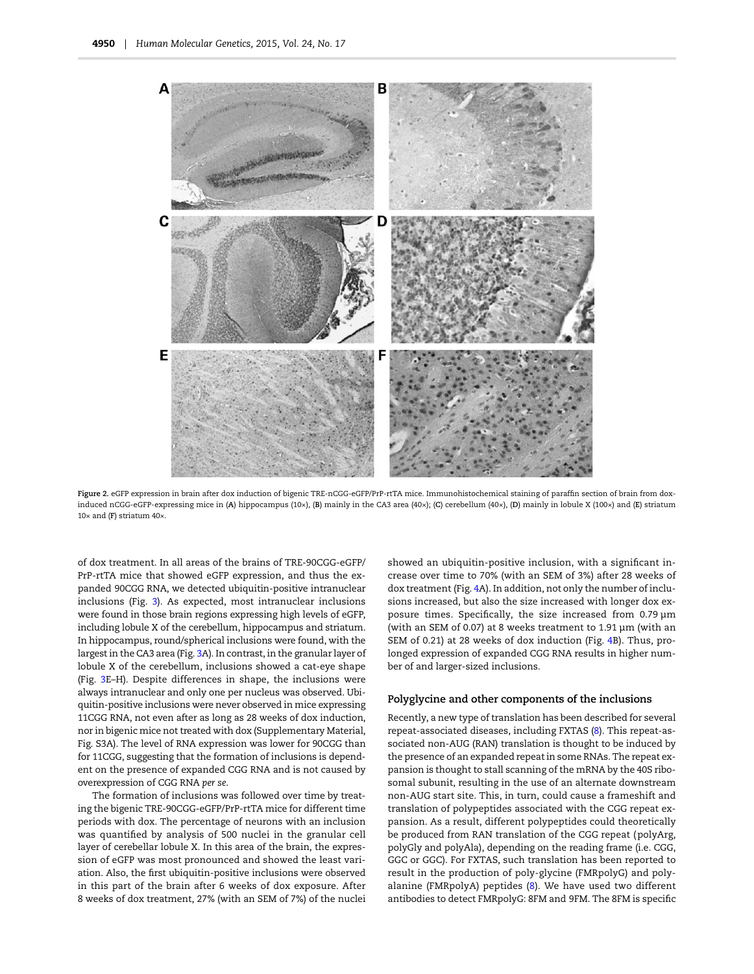<span id="page-2-0"></span>

Figure 2. eGFP expression in brain after dox induction of bigenic TRE-nCGG-eGFP/PrP-rtTA mice. Immunohistochemical staining of paraffin section of brain from doxinduced nCGG-eGFP-expressing mice in (A) hippocampus (10×), (B) mainly in the CA3 area (40×); (C) cerebellum (40×), (D) mainly in lobule X (100×) and (E) striatum 10 $\times$  and (F) striatum 40 $\times$ .

of dox treatment. In all areas of the brains of TRE-90CGG-eGFP/ PrP-rtTA mice that showed eGFP expression, and thus the expanded 90CGG RNA, we detected ubiquitin-positive intranuclear inclusions (Fig. [3\)](#page-3-0). As expected, most intranuclear inclusions were found in those brain regions expressing high levels of eGFP, including lobule X of the cerebellum, hippocampus and striatum. In hippocampus, round/spherical inclusions were found, with the largest in the CA3 area (Fig. [3](#page-3-0)A). In contrast, in the granular layer of lobule X of the cerebellum, inclusions showed a cat-eye shape (Fig. [3](#page-3-0)E–H). Despite differences in shape, the inclusions were always intranuclear and only one per nucleus was observed. Ubiquitin-positive inclusions were never observed in mice expressing 11CGG RNA, not even after as long as 28 weeks of dox induction, nor in bigenic mice not treated with dox [\(Supplementary Material,](http://hmg.oxfordjournals.org/lookup/suppl/doi:10.1093/hmg/ddv216/-/DC1) [Fig. S3A\)](http://hmg.oxfordjournals.org/lookup/suppl/doi:10.1093/hmg/ddv216/-/DC1). The level of RNA expression was lower for 90CGG than for 11CGG, suggesting that the formation of inclusions is dependent on the presence of expanded CGG RNA and is not caused by overexpression of CGG RNA per se.

The formation of inclusions was followed over time by treating the bigenic TRE-90CGG-eGFP/PrP-rtTA mice for different time periods with dox. The percentage of neurons with an inclusion was quantified by analysis of 500 nuclei in the granular cell layer of cerebellar lobule X. In this area of the brain, the expression of eGFP was most pronounced and showed the least variation. Also, the first ubiquitin-positive inclusions were observed in this part of the brain after 6 weeks of dox exposure. After 8 weeks of dox treatment, 27% (with an SEM of 7%) of the nuclei

showed an ubiquitin-positive inclusion, with a significant increase over time to 70% (with an SEM of 3%) after 28 weeks of dox treatment (Fig. [4](#page-4-0)A). In addition, not only the number of inclusions increased, but also the size increased with longer dox exposure times. Specifically, the size increased from 0.79 µm (with an SEM of 0.07) at 8 weeks treatment to 1.91 µm (with an SEM of 0.21) at 28 weeks of dox induction (Fig. [4B](#page-4-0)). Thus, prolonged expression of expanded CGG RNA results in higher number of and larger-sized inclusions.

#### Polyglycine and other components of the inclusions

Recently, a new type of translation has been described for several repeat-associated diseases, including FXTAS ([8\)](#page-8-0). This repeat-associated non-AUG (RAN) translation is thought to be induced by the presence of an expanded repeat in some RNAs. The repeat expansion is thought to stall scanning of the mRNA by the 40S ribosomal subunit, resulting in the use of an alternate downstream non-AUG start site. This, in turn, could cause a frameshift and translation of polypeptides associated with the CGG repeat expansion. As a result, different polypeptides could theoretically be produced from RAN translation of the CGG repeat (polyArg, polyGly and polyAla), depending on the reading frame (i.e. CGG, GGC or GGC). For FXTAS, such translation has been reported to result in the production of poly-glycine (FMRpolyG) and polyalanine (FMRpolyA) peptides [\(8\)](#page-8-0). We have used two different antibodies to detect FMRpolyG: 8FM and 9FM. The 8FM is specific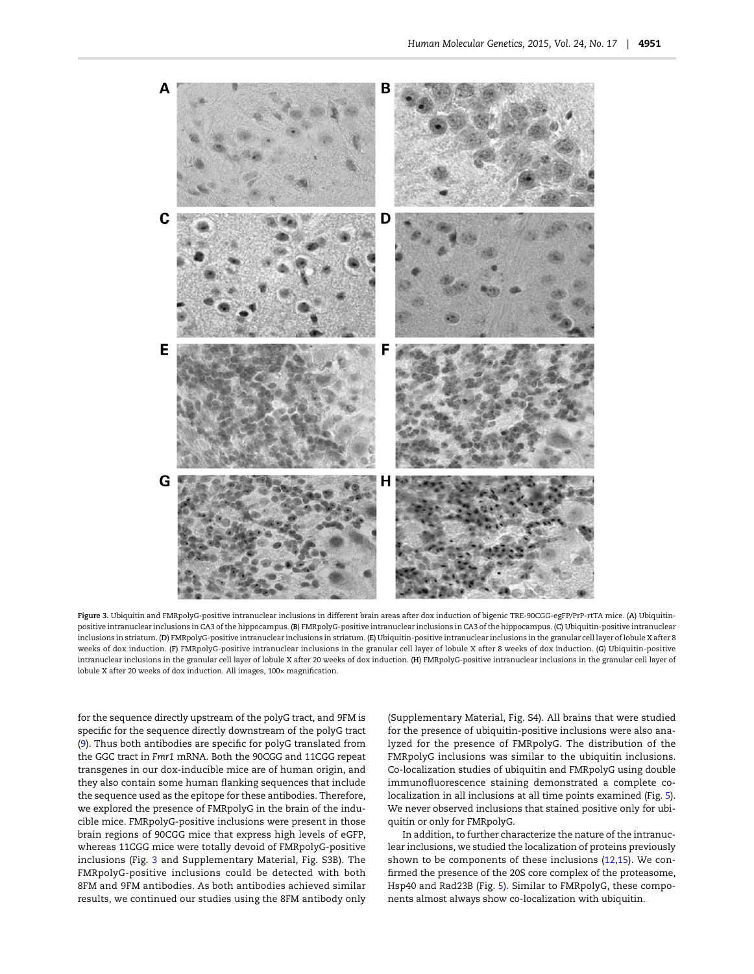<span id="page-3-0"></span>

Figure 3. Ubiquitin and FMRpolyG-positive intranuclear inclusions in different brain areas after dox induction of bigenic TRE-90CGG-egFP/PrP-rtTA mice. (A) Ubiquitinpositive intranuclear inclusions in CA3 of the hippocampus. (B) FMRpolyG-positive intranuclear inclusions in CA3 of the hippocampus. (C) Ubiquitin-positive intranuclear inclusions in striatum. (D) FMRpolyG-positive intranuclear inclusions in striatum. (E) Ubiquitin-positive intranuclear inclusions in the granular cell layer of lobule X after 8 weeks of dox induction. (F) FMRpolyG-positive intranuclear inclusions in the granular cell layer of lobule X after 8 weeks of dox induction. (G) Ubiquitin-positive intranuclear inclusions in the granular cell layer of lobule X after 20 weeks of dox induction. (H) FMRpolyG-positive intranuclear inclusions in the granular cell layer of lobule X after 20 weeks of dox induction. All images, 100× magnification.

for the sequence directly upstream of the polyG tract, and 9FM is specific for the sequence directly downstream of the polyG tract ([9\)](#page-8-0). Thus both antibodies are specific for polyG translated from the GGC tract in Fmr1 mRNA. Both the 90CGG and 11CGG repeat transgenes in our dox-inducible mice are of human origin, and they also contain some human flanking sequences that include the sequence used as the epitope for these antibodies. Therefore, we explored the presence of FMRpolyG in the brain of the inducible mice. FMRpolyG-positive inclusions were present in those brain regions of 90CGG mice that express high levels of eGFP, whereas 11CGG mice were totally devoid of FMRpolyG-positive inclusions (Fig. 3 and [Supplementary Material, Fig. S3B](http://hmg.oxfordjournals.org/lookup/suppl/doi:10.1093/hmg/ddv216/-/DC1)). The FMRpolyG-positive inclusions could be detected with both 8FM and 9FM antibodies. As both antibodies achieved similar results, we continued our studies using the 8FM antibody only

([Supplementary Material, Fig. S4\)](http://hmg.oxfordjournals.org/lookup/suppl/doi:10.1093/hmg/ddv216/-/DC1). All brains that were studied for the presence of ubiquitin-positive inclusions were also analyzed for the presence of FMRpolyG. The distribution of the FMRpolyG inclusions was similar to the ubiquitin inclusions. Co-localization studies of ubiquitin and FMRpolyG using double immunofluorescence staining demonstrated a complete colocalization in all inclusions at all time points examined (Fig. [5\)](#page-4-0). We never observed inclusions that stained positive only for ubiquitin or only for FMRpolyG.

In addition, to further characterize the nature of the intranuclear inclusions, we studied the localization of proteins previously shown to be components of these inclusions [\(12,15](#page-9-0)). We confirmed the presence of the 20S core complex of the proteasome, Hsp40 and Rad23B (Fig. [5](#page-4-0)). Similar to FMRpolyG, these components almost always show co-localization with ubiquitin.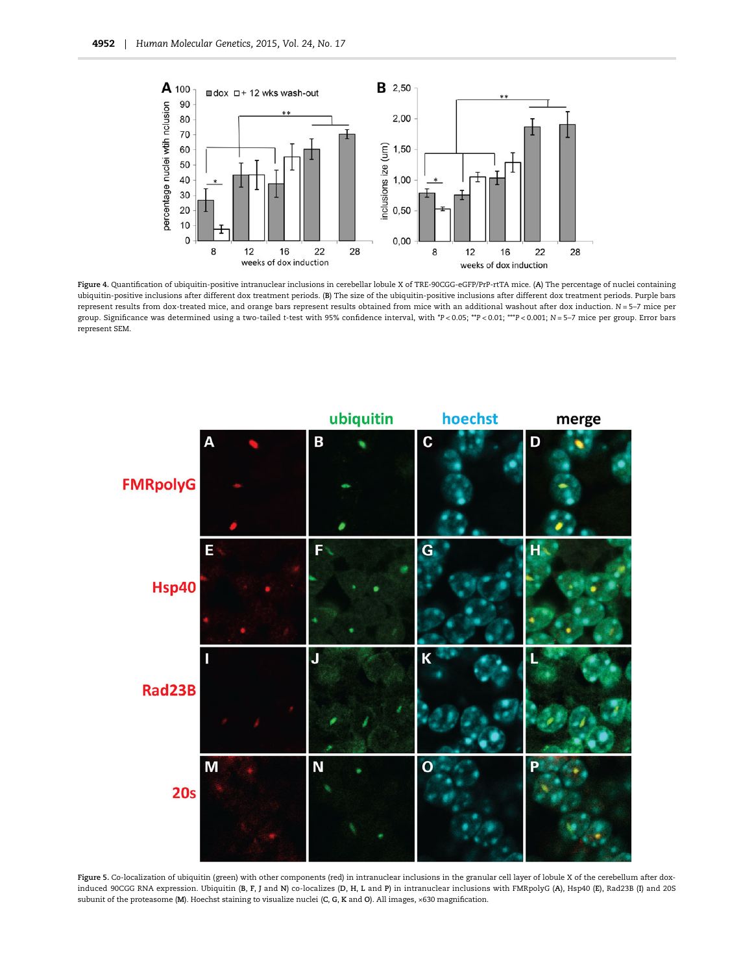<span id="page-4-0"></span>

Figure 4. Quantification of ubiquitin-positive intranuclear inclusions in cerebellar lobule X of TRE-90CGG-eGFP/PrP-rtTA mice. (A) The percentage of nuclei containing ubiquitin-positive inclusions after different dox treatment periods. (B) The size of the ubiquitin-positive inclusions after different dox treatment periods. Purple bars represent results from dox-treated mice, and orange bars represent results obtained from mice with an additional washout after dox induction. N = 5–7 mice per group. Significance was determined using a two-tailed t-test with 95% confidence interval, with  $\gamma < 0.05$ ; \*\*P < 0.01; \*\*P < 0.001; N = 5-7 mice per group. Error bars represent SEM.



Figure 5. Co-localization of ubiquitin (green) with other components (red) in intranuclear inclusions in the granular cell layer of lobule X of the cerebellum after doxinduced 90CGG RNA expression. Ubiquitin (B, F, J and N) co-localizes (D, H, L and P) in intranuclear inclusions with FMRpolyG (A), Hsp40 (E), Rad23B (I) and 20S subunit of the proteasome (M). Hoechst staining to visualize nuclei (C, G, K and O). All images, ×630 magnification.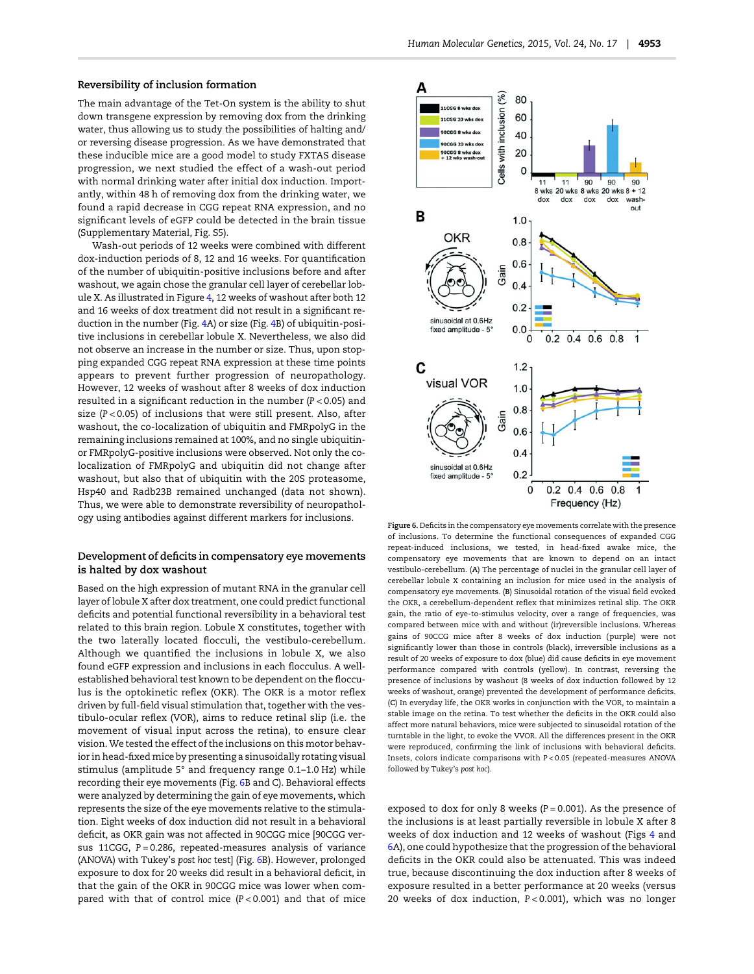#### <span id="page-5-0"></span>Reversibility of inclusion formation

The main advantage of the Tet-On system is the ability to shut down transgene expression by removing dox from the drinking water, thus allowing us to study the possibilities of halting and/ or reversing disease progression. As we have demonstrated that these inducible mice are a good model to study FXTAS disease progression, we next studied the effect of a wash-out period with normal drinking water after initial dox induction. Importantly, within 48 h of removing dox from the drinking water, we found a rapid decrease in CGG repeat RNA expression, and no significant levels of eGFP could be detected in the brain tissue [\(Supplementary Material, Fig. S5\)](http://hmg.oxfordjournals.org/lookup/suppl/doi:10.1093/hmg/ddv216/-/DC1).

Wash-out periods of 12 weeks were combined with different dox-induction periods of 8, 12 and 16 weeks. For quantification of the number of ubiquitin-positive inclusions before and after washout, we again chose the granular cell layer of cerebellar lobule X. As illustrated in Figure [4](#page-4-0), 12 weeks of washout after both 12 and 16 weeks of dox treatment did not result in a significant reduction in the number (Fig. [4A](#page-4-0)) or size (Fig. [4](#page-4-0)B) of ubiquitin-positive inclusions in cerebellar lobule X. Nevertheless, we also did not observe an increase in the number or size. Thus, upon stopping expanded CGG repeat RNA expression at these time points appears to prevent further progression of neuropathology. However, 12 weeks of washout after 8 weeks of dox induction resulted in a significant reduction in the number (P < 0.05) and size (P < 0.05) of inclusions that were still present. Also, after washout, the co-localization of ubiquitin and FMRpolyG in the remaining inclusions remained at 100%, and no single ubiquitinor FMRpolyG-positive inclusions were observed. Not only the colocalization of FMRpolyG and ubiquitin did not change after washout, but also that of ubiquitin with the 20S proteasome, Hsp40 and Radb23B remained unchanged (data not shown). Thus, we were able to demonstrate reversibility of neuropathology using antibodies against different markers for inclusions.

### Development of deficits in compensatory eye movements is halted by dox washout

Based on the high expression of mutant RNA in the granular cell layer of lobule X after dox treatment, one could predict functional deficits and potential functional reversibility in a behavioral test related to this brain region. Lobule X constitutes, together with the two laterally located flocculi, the vestibulo-cerebellum. Although we quantified the inclusions in lobule X, we also found eGFP expression and inclusions in each flocculus. A wellestablished behavioral test known to be dependent on the flocculus is the optokinetic reflex (OKR). The OKR is a motor reflex driven by full-field visual stimulation that, together with the vestibulo-ocular reflex (VOR), aims to reduce retinal slip (i.e. the movement of visual input across the retina), to ensure clear vision. We tested the effect of the inclusions on this motor behavior in head-fixed mice by presenting a sinusoidally rotating visual stimulus (amplitude 5° and frequency range 0.1–1.0 Hz) while recording their eye movements (Fig. 6B and C). Behavioral effects were analyzed by determining the gain of eye movements, which represents the size of the eye movements relative to the stimulation. Eight weeks of dox induction did not result in a behavioral deficit, as OKR gain was not affected in 90CGG mice [90CGG versus 11CGG, P = 0.286, repeated-measures analysis of variance (ANOVA) with Tukey's post hoc test] (Fig. 6B). However, prolonged exposure to dox for 20 weeks did result in a behavioral deficit, in that the gain of the OKR in 90CGG mice was lower when compared with that of control mice (P < 0.001) and that of mice



Figure 6. Deficits in the compensatory eye movements correlate with the presence of inclusions. To determine the functional consequences of expanded CGG repeat-induced inclusions, we tested, in head-fixed awake mice, the compensatory eye movements that are known to depend on an intact vestibulo-cerebellum. (A) The percentage of nuclei in the granular cell layer of cerebellar lobule X containing an inclusion for mice used in the analysis of compensatory eye movements. (B) Sinusoidal rotation of the visual field evoked the OKR, a cerebellum-dependent reflex that minimizes retinal slip. The OKR gain, the ratio of eye-to-stimulus velocity, over a range of frequencies, was compared between mice with and without (ir)reversible inclusions. Whereas gains of 90CCG mice after 8 weeks of dox induction (purple) were not significantly lower than those in controls (black), irreversible inclusions as a result of 20 weeks of exposure to dox (blue) did cause deficits in eye movement performance compared with controls (yellow). In contrast, reversing the presence of inclusions by washout (8 weeks of dox induction followed by 12 weeks of washout, orange) prevented the development of performance deficits. (C) In everyday life, the OKR works in conjunction with the VOR, to maintain a stable image on the retina. To test whether the deficits in the OKR could also affect more natural behaviors, mice were subjected to sinusoidal rotation of the turntable in the light, to evoke the VVOR. All the differences present in the OKR were reproduced, confirming the link of inclusions with behavioral deficits. Insets, colors indicate comparisons with P < 0.05 (repeated-measures ANOVA followed by Tukey's post hoc).

exposed to dox for only 8 weeks  $(P = 0.001)$ . As the presence of the inclusions is at least partially reversible in lobule X after 8 weeks of dox induction and 12 weeks of washout (Figs [4](#page-4-0) and 6A), one could hypothesize that the progression of the behavioral deficits in the OKR could also be attenuated. This was indeed true, because discontinuing the dox induction after 8 weeks of exposure resulted in a better performance at 20 weeks (versus 20 weeks of dox induction, P < 0.001), which was no longer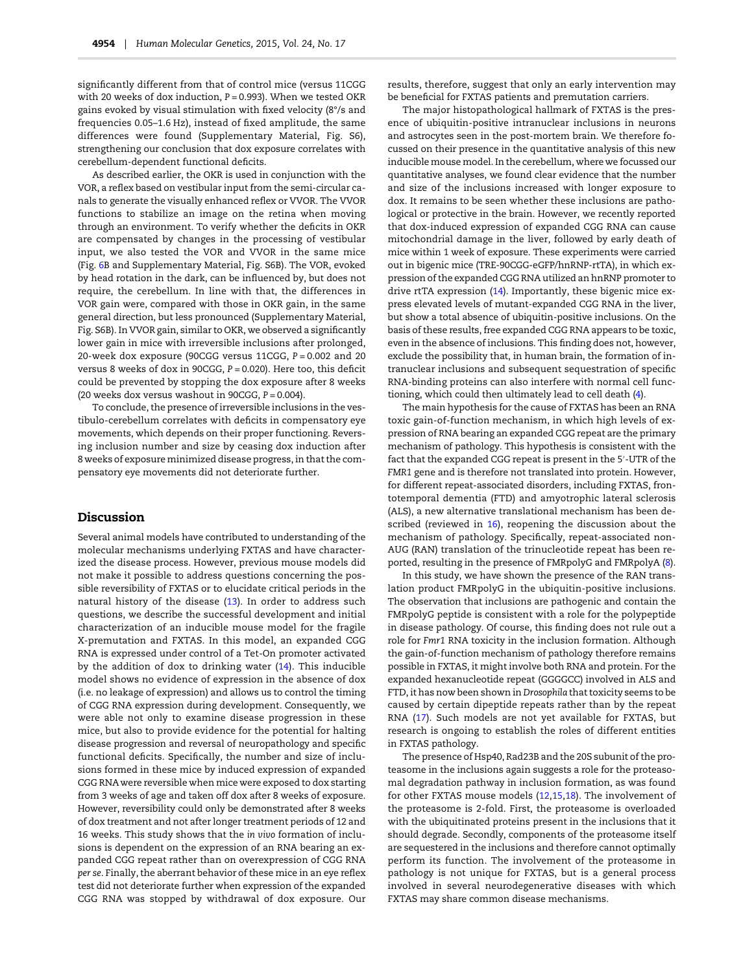significantly different from that of control mice (versus 11CGG with 20 weeks of dox induction,  $P = 0.993$ ). When we tested OKR gains evoked by visual stimulation with fixed velocity (8°/s and frequencies 0.05–1.6 Hz), instead of fixed amplitude, the same differences were found ([Supplementary Material, Fig. S6\)](http://hmg.oxfordjournals.org/lookup/suppl/doi:10.1093/hmg/ddv216/-/DC1), strengthening our conclusion that dox exposure correlates with cerebellum-dependent functional deficits.

As described earlier, the OKR is used in conjunction with the VOR, a reflex based on vestibular input from the semi-circular canals to generate the visually enhanced reflex or VVOR. The VVOR functions to stabilize an image on the retina when moving through an environment. To verify whether the deficits in OKR are compensated by changes in the processing of vestibular input, we also tested the VOR and VVOR in the same mice (Fig. [6](#page-5-0)B and [Supplementary Material, Fig. S6B\)](http://hmg.oxfordjournals.org/lookup/suppl/doi:10.1093/hmg/ddv216/-/DC1). The VOR, evoked by head rotation in the dark, can be influenced by, but does not require, the cerebellum. In line with that, the differences in VOR gain were, compared with those in OKR gain, in the same general direction, but less pronounced ([Supplementary Material,](http://hmg.oxfordjournals.org/lookup/suppl/doi:10.1093/hmg/ddv216/-/DC1) [Fig. S6B](http://hmg.oxfordjournals.org/lookup/suppl/doi:10.1093/hmg/ddv216/-/DC1)). In VVOR gain, similar to OKR, we observed a significantly lower gain in mice with irreversible inclusions after prolonged, 20-week dox exposure (90CGG versus 11CGG, P = 0.002 and 20 versus 8 weeks of dox in 90CGG, P = 0.020). Here too, this deficit could be prevented by stopping the dox exposure after 8 weeks (20 weeks dox versus washout in 90CGG,  $P = 0.004$ ).

To conclude, the presence of irreversible inclusions in the vestibulo-cerebellum correlates with deficits in compensatory eye movements, which depends on their proper functioning. Reversing inclusion number and size by ceasing dox induction after 8 weeks of exposure minimized disease progress, in that the compensatory eye movements did not deteriorate further.

## Discussion

Several animal models have contributed to understanding of the molecular mechanisms underlying FXTAS and have characterized the disease process. However, previous mouse models did not make it possible to address questions concerning the possible reversibility of FXTAS or to elucidate critical periods in the natural history of the disease [\(13\)](#page-9-0). In order to address such questions, we describe the successful development and initial characterization of an inducible mouse model for the fragile X-premutation and FXTAS. In this model, an expanded CGG RNA is expressed under control of a Tet-On promoter activated by the addition of dox to drinking water [\(14\)](#page-9-0). This inducible model shows no evidence of expression in the absence of dox (i.e. no leakage of expression) and allows us to control the timing of CGG RNA expression during development. Consequently, we were able not only to examine disease progression in these mice, but also to provide evidence for the potential for halting disease progression and reversal of neuropathology and specific functional deficits. Specifically, the number and size of inclusions formed in these mice by induced expression of expanded CGG RNAwere reversible when mice were exposed to dox starting from 3 weeks of age and taken off dox after 8 weeks of exposure. However, reversibility could only be demonstrated after 8 weeks of dox treatment and not after longer treatment periods of 12 and 16 weeks. This study shows that the in vivo formation of inclusions is dependent on the expression of an RNA bearing an expanded CGG repeat rather than on overexpression of CGG RNA per se. Finally, the aberrant behavior of these mice in an eye reflex test did not deteriorate further when expression of the expanded CGG RNA was stopped by withdrawal of dox exposure. Our results, therefore, suggest that only an early intervention may be beneficial for FXTAS patients and premutation carriers.

The major histopathological hallmark of FXTAS is the presence of ubiquitin-positive intranuclear inclusions in neurons and astrocytes seen in the post-mortem brain. We therefore focussed on their presence in the quantitative analysis of this new inducible mouse model. In the cerebellum, where we focussed our quantitative analyses, we found clear evidence that the number and size of the inclusions increased with longer exposure to dox. It remains to be seen whether these inclusions are pathological or protective in the brain. However, we recently reported that dox-induced expression of expanded CGG RNA can cause mitochondrial damage in the liver, followed by early death of mice within 1 week of exposure. These experiments were carried out in bigenic mice (TRE-90CGG-eGFP/hnRNP-rtTA), in which expression of the expanded CGG RNA utilized an hnRNP promoter to drive rtTA expression [\(14\)](#page-9-0). Importantly, these bigenic mice express elevated levels of mutant-expanded CGG RNA in the liver, but show a total absence of ubiquitin-positive inclusions. On the basis of these results, free expanded CGG RNA appears to be toxic, even in the absence of inclusions. This finding does not, however, exclude the possibility that, in human brain, the formation of intranuclear inclusions and subsequent sequestration of specific RNA-binding proteins can also interfere with normal cell functioning, which could then ultimately lead to cell death ([4\)](#page-8-0).

The main hypothesis for the cause of FXTAS has been an RNA toxic gain-of-function mechanism, in which high levels of expression of RNA bearing an expanded CGG repeat are the primary mechanism of pathology. This hypothesis is consistent with the fact that the expanded CGG repeat is present in the 5′-UTR of the FMR1 gene and is therefore not translated into protein. However, for different repeat-associated disorders, including FXTAS, frontotemporal dementia (FTD) and amyotrophic lateral sclerosis (ALS), a new alternative translational mechanism has been de-scribed (reviewed in [16](#page-9-0)), reopening the discussion about the mechanism of pathology. Specifically, repeat-associated non-AUG (RAN) translation of the trinucleotide repeat has been reported, resulting in the presence of FMRpolyG and FMRpolyA ([8\)](#page-8-0).

In this study, we have shown the presence of the RAN translation product FMRpolyG in the ubiquitin-positive inclusions. The observation that inclusions are pathogenic and contain the FMRpolyG peptide is consistent with a role for the polypeptide in disease pathology. Of course, this finding does not rule out a role for Fmr1 RNA toxicity in the inclusion formation. Although the gain-of-function mechanism of pathology therefore remains possible in FXTAS, it might involve both RNA and protein. For the expanded hexanucleotide repeat (GGGGCC) involved in ALS and FTD, it has now been shown in Drosophila that toxicity seems to be caused by certain dipeptide repeats rather than by the repeat RNA ([17](#page-9-0)). Such models are not yet available for FXTAS, but research is ongoing to establish the roles of different entities in FXTAS pathology.

The presence of Hsp40, Rad23B and the 20S subunit of the proteasome in the inclusions again suggests a role for the proteasomal degradation pathway in inclusion formation, as was found for other FXTAS mouse models ([12,15,18\)](#page-9-0). The involvement of the proteasome is 2-fold. First, the proteasome is overloaded with the ubiquitinated proteins present in the inclusions that it should degrade. Secondly, components of the proteasome itself are sequestered in the inclusions and therefore cannot optimally perform its function. The involvement of the proteasome in pathology is not unique for FXTAS, but is a general process involved in several neurodegenerative diseases with which FXTAS may share common disease mechanisms.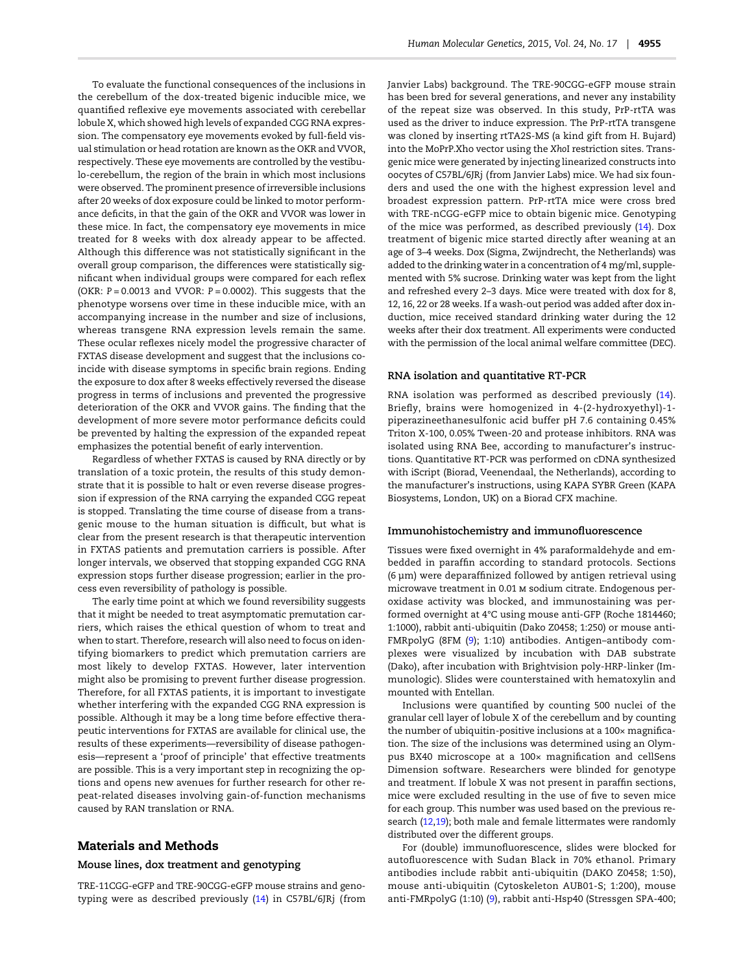To evaluate the functional consequences of the inclusions in the cerebellum of the dox-treated bigenic inducible mice, we quantified reflexive eye movements associated with cerebellar lobule X, which showed high levels of expanded CGG RNA expression. The compensatory eye movements evoked by full-field visual stimulation or head rotation are known as the OKR and VVOR, respectively. These eye movements are controlled by the vestibulo-cerebellum, the region of the brain in which most inclusions were observed. The prominent presence of irreversible inclusions after 20 weeks of dox exposure could be linked to motor performance deficits, in that the gain of the OKR and VVOR was lower in these mice. In fact, the compensatory eye movements in mice treated for 8 weeks with dox already appear to be affected. Although this difference was not statistically significant in the overall group comparison, the differences were statistically significant when individual groups were compared for each reflex (OKR:  $P = 0.0013$  and VVOR:  $P = 0.0002$ ). This suggests that the phenotype worsens over time in these inducible mice, with an accompanying increase in the number and size of inclusions, whereas transgene RNA expression levels remain the same. These ocular reflexes nicely model the progressive character of FXTAS disease development and suggest that the inclusions coincide with disease symptoms in specific brain regions. Ending the exposure to dox after 8 weeks effectively reversed the disease progress in terms of inclusions and prevented the progressive deterioration of the OKR and VVOR gains. The finding that the development of more severe motor performance deficits could be prevented by halting the expression of the expanded repeat emphasizes the potential benefit of early intervention.

Regardless of whether FXTAS is caused by RNA directly or by translation of a toxic protein, the results of this study demonstrate that it is possible to halt or even reverse disease progression if expression of the RNA carrying the expanded CGG repeat is stopped. Translating the time course of disease from a transgenic mouse to the human situation is difficult, but what is clear from the present research is that therapeutic intervention in FXTAS patients and premutation carriers is possible. After longer intervals, we observed that stopping expanded CGG RNA expression stops further disease progression; earlier in the process even reversibility of pathology is possible.

The early time point at which we found reversibility suggests that it might be needed to treat asymptomatic premutation carriers, which raises the ethical question of whom to treat and when to start. Therefore, research will also need to focus on identifying biomarkers to predict which premutation carriers are most likely to develop FXTAS. However, later intervention might also be promising to prevent further disease progression. Therefore, for all FXTAS patients, it is important to investigate whether interfering with the expanded CGG RNA expression is possible. Although it may be a long time before effective therapeutic interventions for FXTAS are available for clinical use, the results of these experiments—reversibility of disease pathogenesis—represent a 'proof of principle' that effective treatments are possible. This is a very important step in recognizing the options and opens new avenues for further research for other repeat-related diseases involving gain-of-function mechanisms caused by RAN translation or RNA.

## Materials and Methods

#### Mouse lines, dox treatment and genotyping

TRE-11CGG-eGFP and TRE-90CGG-eGFP mouse strains and genotyping were as described previously ([14](#page-9-0)) in C57BL/6JRj (from Janvier Labs) background. The TRE-90CGG-eGFP mouse strain has been bred for several generations, and never any instability of the repeat size was observed. In this study, PrP-rtTA was used as the driver to induce expression. The PrP-rtTA transgene was cloned by inserting rtTA2S-MS (a kind gift from H. Bujard) into the MoPrP.Xho vector using the XhoI restriction sites. Transgenic mice were generated by injecting linearized constructs into oocytes of C57BL/6JRj (from Janvier Labs) mice. We had six founders and used the one with the highest expression level and broadest expression pattern. PrP-rtTA mice were cross bred with TRE-nCGG-eGFP mice to obtain bigenic mice. Genotyping of the mice was performed, as described previously [\(14](#page-9-0)). Dox treatment of bigenic mice started directly after weaning at an age of 3–4 weeks. Dox (Sigma, Zwijndrecht, the Netherlands) was added to the drinking water in a concentration of 4 mg/ml, supplemented with 5% sucrose. Drinking water was kept from the light and refreshed every 2–3 days. Mice were treated with dox for 8, 12, 16, 22 or 28 weeks. If a wash-out period was added after dox induction, mice received standard drinking water during the 12 weeks after their dox treatment. All experiments were conducted with the permission of the local animal welfare committee (DEC).

#### RNA isolation and quantitative RT-PCR

RNA isolation was performed as described previously ([14\)](#page-9-0). Briefly, brains were homogenized in 4-(2-hydroxyethyl)-1piperazineethanesulfonic acid buffer pH 7.6 containing 0.45% Triton X-100, 0.05% Tween-20 and protease inhibitors. RNA was isolated using RNA Bee, according to manufacturer's instructions. Quantitative RT-PCR was performed on cDNA synthesized with iScript (Biorad, Veenendaal, the Netherlands), according to the manufacturer's instructions, using KAPA SYBR Green (KAPA Biosystems, London, UK) on a Biorad CFX machine.

#### Immunohistochemistry and immunofluorescence

Tissues were fixed overnight in 4% paraformaldehyde and embedded in paraffin according to standard protocols. Sections (6 µm) were deparaffinized followed by antigen retrieval using microwave treatment in 0.01 M sodium citrate. Endogenous peroxidase activity was blocked, and immunostaining was performed overnight at 4°C using mouse anti-GFP (Roche 1814460; 1:1000), rabbit anti-ubiquitin (Dako Z0458; 1:250) or mouse anti-FMRpolyG (8FM ([9](#page-8-0)); 1:10) antibodies. Antigen–antibody complexes were visualized by incubation with DAB substrate (Dako), after incubation with Brightvision poly-HRP-linker (Immunologic). Slides were counterstained with hematoxylin and mounted with Entellan.

Inclusions were quantified by counting 500 nuclei of the granular cell layer of lobule X of the cerebellum and by counting the number of ubiquitin-positive inclusions at a 100× magnification. The size of the inclusions was determined using an Olympus BX40 microscope at a 100× magnification and cellSens Dimension software. Researchers were blinded for genotype and treatment. If lobule X was not present in paraffin sections, mice were excluded resulting in the use of five to seven mice for each group. This number was used based on the previous research ([12,19](#page-9-0)); both male and female littermates were randomly distributed over the different groups.

For (double) immunofluorescence, slides were blocked for autofluorescence with Sudan Black in 70% ethanol. Primary antibodies include rabbit anti-ubiquitin (DAKO Z0458; 1:50), mouse anti-ubiquitin (Cytoskeleton AUB01-S; 1:200), mouse anti-FMRpolyG (1:10) ([9\)](#page-8-0), rabbit anti-Hsp40 (Stressgen SPA-400;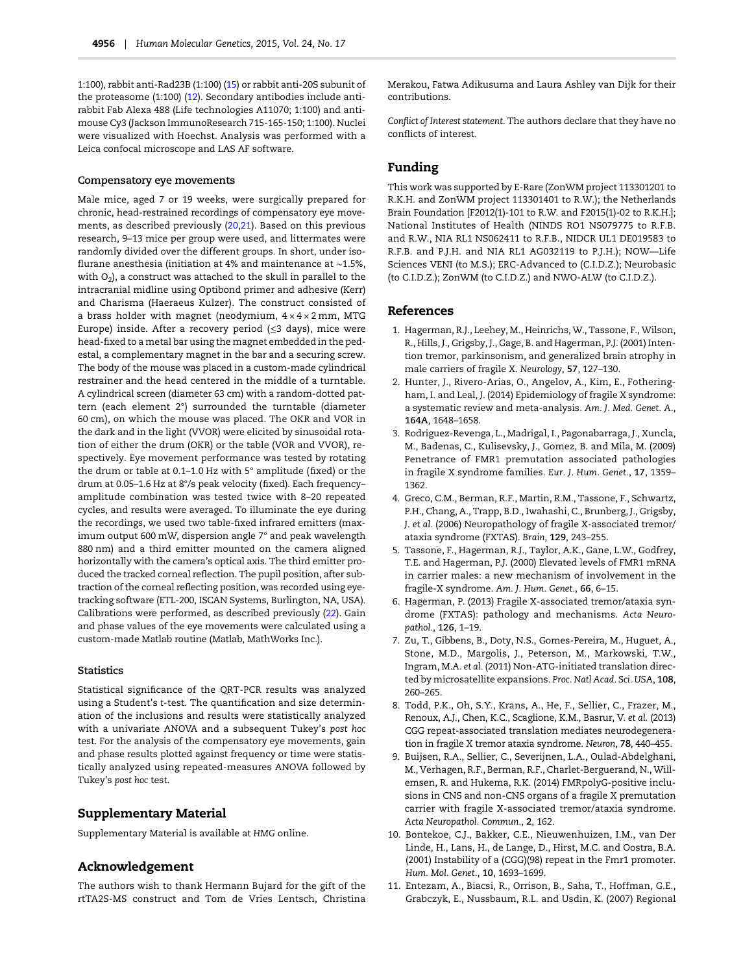<span id="page-8-0"></span>1:100), rabbit anti-Rad23B (1:100) ([15](#page-9-0)) or rabbit anti-20S subunit of the proteasome (1:100) [\(12\)](#page-9-0). Secondary antibodies include antirabbit Fab Alexa 488 (Life technologies A11070; 1:100) and antimouse Cy3 (Jackson ImmunoResearch 715-165-150; 1:100). Nuclei were visualized with Hoechst. Analysis was performed with a Leica confocal microscope and LAS AF software.

#### Compensatory eye movements

Male mice, aged 7 or 19 weeks, were surgically prepared for chronic, head-restrained recordings of compensatory eye movements, as described previously ([20,21](#page-9-0)). Based on this previous research, 9–13 mice per group were used, and littermates were randomly divided over the different groups. In short, under isoflurane anesthesia (initiation at 4% and maintenance at ∼1.5%, with  $O_2$ ), a construct was attached to the skull in parallel to the intracranial midline using Optibond primer and adhesive (Kerr) and Charisma (Haeraeus Kulzer). The construct consisted of a brass holder with magnet (neodymium,  $4 \times 4 \times 2$  mm, MTG Europe) inside. After a recovery period ( $\leq$ 3 days), mice were head-fixed to a metal bar using the magnet embedded in the pedestal, a complementary magnet in the bar and a securing screw. The body of the mouse was placed in a custom-made cylindrical restrainer and the head centered in the middle of a turntable. A cylindrical screen (diameter 63 cm) with a random-dotted pattern (each element 2°) surrounded the turntable (diameter 60 cm), on which the mouse was placed. The OKR and VOR in the dark and in the light (VVOR) were elicited by sinusoidal rotation of either the drum (OKR) or the table (VOR and VVOR), respectively. Eye movement performance was tested by rotating the drum or table at 0.1–1.0 Hz with 5° amplitude (fixed) or the drum at 0.05–1.6 Hz at 8°/s peak velocity (fixed). Each frequency– amplitude combination was tested twice with 8–20 repeated cycles, and results were averaged. To illuminate the eye during the recordings, we used two table-fixed infrared emitters (maximum output 600 mW, dispersion angle 7° and peak wavelength 880 nm) and a third emitter mounted on the camera aligned horizontally with the camera's optical axis. The third emitter produced the tracked corneal reflection. The pupil position, after subtraction of the corneal reflecting position, was recorded using eyetracking software (ETL-200, ISCAN Systems, Burlington, NA, USA). Calibrations were performed, as described previously ([22](#page-9-0)). Gain and phase values of the eye movements were calculated using a custom-made Matlab routine (Matlab, MathWorks Inc.).

#### **Statistics**

Statistical significance of the QRT-PCR results was analyzed using a Student's t-test. The quantification and size determination of the inclusions and results were statistically analyzed with a univariate ANOVA and a subsequent Tukey's post hoc test. For the analysis of the compensatory eye movements, gain and phase results plotted against frequency or time were statistically analyzed using repeated-measures ANOVA followed by Tukey's post hoc test.

## Supplementary Material

[Supplementary Material is available at](http://hmg.oxfordjournals.org/lookup/suppl/doi:10.1093/hmg/ddv216/-/DC1) HMG online.

## Acknowledgement

The authors wish to thank Hermann Bujard for the gift of the rtTA2S-MS construct and Tom de Vries Lentsch, Christina Merakou, Fatwa Adikusuma and Laura Ashley van Dijk for their contributions.

Conflict of Interest statement. The authors declare that they have no conflicts of interest.

## Funding

This work was supported by E-Rare (ZonWM project 113301201 to R.K.H. and ZonWM project 113301401 to R.W.); the Netherlands Brain Foundation [F2012(1)-101 to R.W. and F2015(1)-02 to R.K.H.]; National Institutes of Health (NINDS RO1 NS079775 to R.F.B. and R.W., NIA RL1 NS062411 to R.F.B., NIDCR UL1 DE019583 to R.F.B. and P.J.H. and NIA RL1 AG032119 to P.J.H.); NOW—Life Sciences VENI (to M.S.); ERC-Advanced to (C.I.D.Z.); Neurobasic (to C.I.D.Z.); ZonWM (to C.I.D.Z.) and NWO-ALW (to C.I.D.Z.).

#### References

- 1. Hagerman, R.J., Leehey, M., Heinrichs, W., Tassone, F., Wilson, R., Hills, J., Grigsby, J., Gage, B. and Hagerman, P.J. (2001) Intention tremor, parkinsonism, and generalized brain atrophy in male carriers of fragile X. Neurology, 57, 127–130.
- 2. Hunter, J., Rivero-Arias, O., Angelov, A., Kim, E., Fotheringham, I. and Leal, J. (2014) Epidemiology of fragile X syndrome: a systematic review and meta-analysis. Am. J. Med. Genet. A., 164A, 1648–1658.
- 3. Rodriguez-Revenga, L., Madrigal, I., Pagonabarraga, J., Xuncla, M., Badenas, C., Kulisevsky, J., Gomez, B. and Mila, M. (2009) Penetrance of FMR1 premutation associated pathologies in fragile X syndrome families. Eur. J. Hum. Genet., 17, 1359– 1362.
- 4. Greco, C.M., Berman, R.F., Martin, R.M., Tassone, F., Schwartz, P.H., Chang, A., Trapp, B.D., Iwahashi, C., Brunberg, J., Grigsby, J. et al. (2006) Neuropathology of fragile X-associated tremor/ ataxia syndrome (FXTAS). Brain, 129, 243–255.
- 5. Tassone, F., Hagerman, R.J., Taylor, A.K., Gane, L.W., Godfrey, T.E. and Hagerman, P.J. (2000) Elevated levels of FMR1 mRNA in carrier males: a new mechanism of involvement in the fragile-X syndrome. Am. J. Hum. Genet., 66, 6–15.
- 6. Hagerman, P. (2013) Fragile X-associated tremor/ataxia syndrome (FXTAS): pathology and mechanisms. Acta Neuropathol., 126, 1–19.
- 7. Zu, T., Gibbens, B., Doty, N.S., Gomes-Pereira, M., Huguet, A., Stone, M.D., Margolis, J., Peterson, M., Markowski, T.W., Ingram, M.A. et al. (2011) Non-ATG-initiated translation directed by microsatellite expansions. Proc. Natl Acad. Sci. USA, 108, 260–265.
- 8. Todd, P.K., Oh, S.Y., Krans, A., He, F., Sellier, C., Frazer, M., Renoux, A.J., Chen, K.C., Scaglione, K.M., Basrur, V. et al. (2013) CGG repeat-associated translation mediates neurodegeneration in fragile X tremor ataxia syndrome. Neuron, 78, 440–455.
- 9. Buijsen, R.A., Sellier, C., Severijnen, L.A., Oulad-Abdelghani, M., Verhagen, R.F., Berman, R.F., Charlet-Berguerand, N., Willemsen, R. and Hukema, R.K. (2014) FMRpolyG-positive inclusions in CNS and non-CNS organs of a fragile X premutation carrier with fragile X-associated tremor/ataxia syndrome. Acta Neuropathol. Commun., 2, 162.
- 10. Bontekoe, C.J., Bakker, C.E., Nieuwenhuizen, I.M., van Der Linde, H., Lans, H., de Lange, D., Hirst, M.C. and Oostra, B.A. (2001) Instability of a (CGG)(98) repeat in the Fmr1 promoter. Hum. Mol. Genet., 10, 1693–1699.
- 11. Entezam, A., Biacsi, R., Orrison, B., Saha, T., Hoffman, G.E., Grabczyk, E., Nussbaum, R.L. and Usdin, K. (2007) Regional